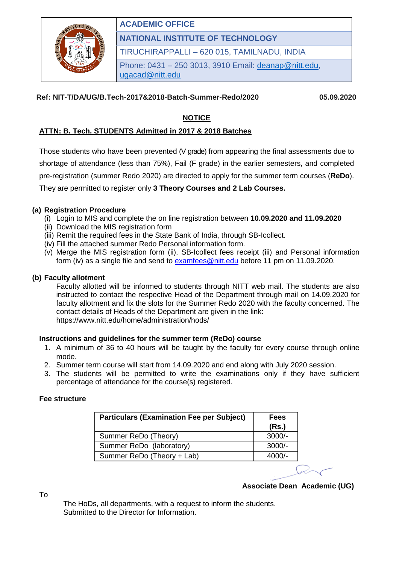

## **ACADEMIC OFFICE**

**NATIONAL INSTITUTE OF TECHNOLOGY**

TIRUCHIRAPPALLI – 620 015, TAMILNADU, INDIA

Phone: 0431 – 250 3013, 3910 Email: [deanap@nitt.edu,](mailto:deanap@nitt.edu) [ugacad@nitt.edu](mailto:ugacad@nitt.edu)

## **Ref: NIT-T/DA/UG/B.Tech-2017&2018-Batch-Summer-Redo/2020 05.09.2020**

## **NOTICE**

## **ATTN: B. Tech. STUDENTS Admitted in 2017 & 2018 Batches**

Those students who have been prevented (V grade) from appearing the final assessments due to shortage of attendance (less than 75%), Fail (F grade) in the earlier semesters, and completed pre-registration (summer Redo 2020) are directed to apply for the summer term courses (**ReDo**). They are permitted to register only **3 Theory Courses and 2 Lab Courses.** 

### **(a) Registration Procedure**

- (i) Login to MIS and complete the on line registration between **10.09.2020 and 11.09.2020**
- (ii) Download the MIS registration form
- (iii) Remit the required fees in the State Bank of India, through SB-Icollect.
- (iv) Fill the attached summer Redo Personal information form.
- (v) Merge the MIS registration form (ii), SB-Icollect fees receipt (iii) and Personal information form (iv) as a single file and send to [examfees@nitt.edu](mailto:examfees@nitt.edu) before 11 pm on 11.09.2020.

#### **(b) Faculty allotment**

Faculty allotted will be informed to students through NITT web mail. The students are also instructed to contact the respective Head of the Department through mail on 14.09.2020 for faculty allotment and fix the slots for the Summer Redo 2020 with the faculty concerned. The contact details of Heads of the Department are given in the link: https://www.nitt.edu/home/administration/hods/

#### **Instructions and guidelines for the summer term (ReDo) course**

- 1. A minimum of 36 to 40 hours will be taught by the faculty for every course through online mode.
- 2. Summer term course will start from 14.09.2020 and end along with July 2020 session.
- 3. The students will be permitted to write the examinations only if they have sufficient percentage of attendance for the course(s) registered.

#### **Fee structure**

To

| <b>Particulars (Examination Fee per Subject)</b> | <b>Fees</b><br>(Rs.) |
|--------------------------------------------------|----------------------|
| Summer ReDo (Theory)                             | $3000/-$             |
| Summer ReDo (laboratory)                         | $3000/-$             |
| Summer ReDo (Theory + Lab)                       | $4000/-$             |
|                                                  |                      |

**Associate Dean Academic (UG)** 

The HoDs, all departments, with a request to inform the students. Submitted to the Director for Information.